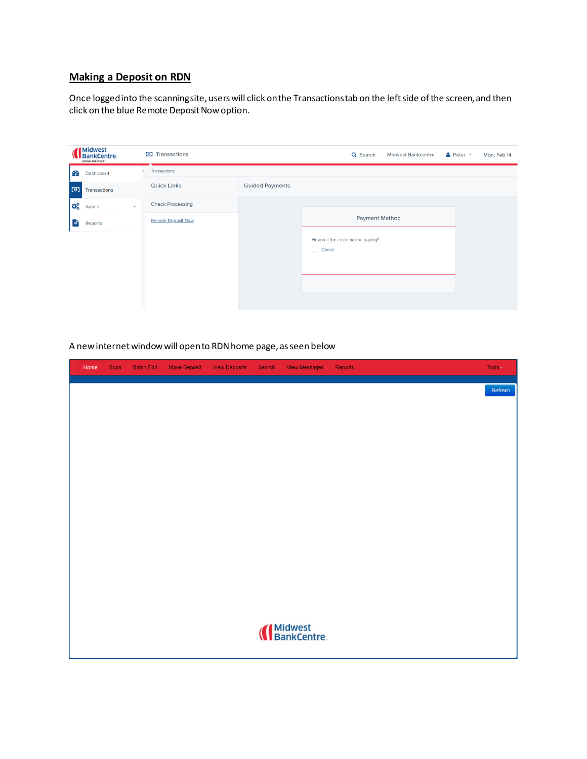## **Making a Deposit on RDN**

Once logged into the scanning site, users will click on the Transactions tab on the left side of the screen, and then click on the blue Remote Deposit Now option.

| <b>Midwest</b><br><b>N</b> BankCentre.<br>RISING TOGETHER" |              | <b>O</b> Transactions     |                        |                                                      | Q Search | <b>Midwest Bankcentre</b> | $\triangle$ Peter $\sim$ | Mon, Feb 14 |
|------------------------------------------------------------|--------------|---------------------------|------------------------|------------------------------------------------------|----------|---------------------------|--------------------------|-------------|
| <b>B</b><br>Dashboard                                      |              | Transactions              |                        |                                                      |          |                           |                          |             |
| $\bullet$<br>Transactions                                  |              | <b>Quick Links</b>        | <b>Guided Payments</b> |                                                      |          |                           |                          |             |
| $\mathbf{Q}_0^0$<br>Admin                                  | $\checkmark$ | <b>Check Processing</b>   |                        |                                                      |          |                           |                          |             |
| ਿ<br>Reports                                               |              | <b>Remote Deposit Now</b> |                        |                                                      |          |                           |                          |             |
|                                                            |              |                           |                        | How will the customer be paying?<br>$\bigcirc$ Check |          |                           |                          |             |
|                                                            |              |                           |                        |                                                      |          |                           |                          |             |

A new internet window will open to RDN home page, as seen below

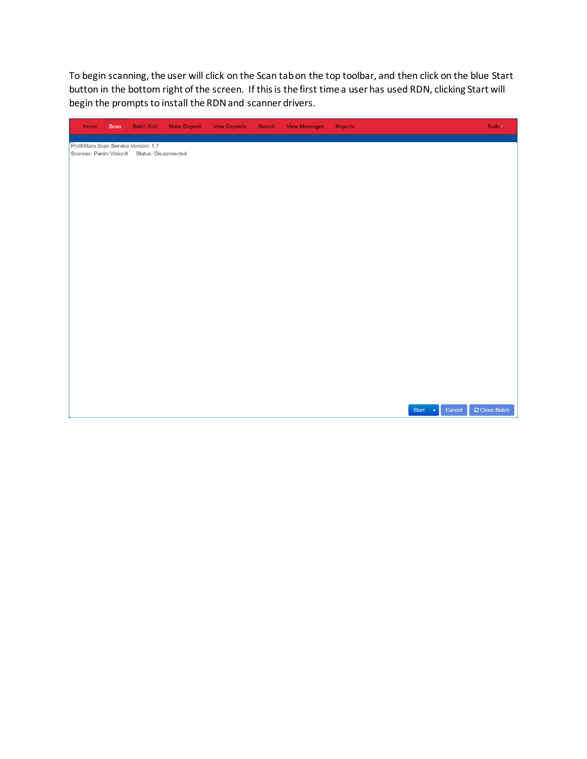To begin scanning, the user will click on the Scan tab on the top toolbar, and then click on the blue Start button in the bottom right of the screen. If this is the first time a user has used RDN, clicking Start will begin the prompts to install the RDN and scanner drivers.

| Home                                  | Scan | <b>Batch Edit</b>                            | <b>Make Deposit</b> | <b>View Deposits</b> | Search | <b>View Messages</b> | Reports |                               | Tools $\blacktriangleright$ |
|---------------------------------------|------|----------------------------------------------|---------------------|----------------------|--------|----------------------|---------|-------------------------------|-----------------------------|
| ProfitStars Scan Service Version: 1.7 |      |                                              |                     |                      |        |                      |         |                               |                             |
|                                       |      | Scanner: Panini VisionX Status: Disconnected |                     |                      |        |                      |         |                               |                             |
|                                       |      |                                              |                     |                      |        |                      |         |                               |                             |
|                                       |      |                                              |                     |                      |        |                      |         |                               |                             |
|                                       |      |                                              |                     |                      |        |                      |         |                               |                             |
|                                       |      |                                              |                     |                      |        |                      |         |                               |                             |
|                                       |      |                                              |                     |                      |        |                      |         |                               |                             |
|                                       |      |                                              |                     |                      |        |                      |         |                               |                             |
|                                       |      |                                              |                     |                      |        |                      |         |                               |                             |
|                                       |      |                                              |                     |                      |        |                      |         |                               |                             |
|                                       |      |                                              |                     |                      |        |                      |         |                               |                             |
|                                       |      |                                              |                     |                      |        |                      |         |                               |                             |
|                                       |      |                                              |                     |                      |        |                      |         |                               |                             |
|                                       |      |                                              |                     |                      |        |                      |         |                               |                             |
|                                       |      |                                              |                     |                      |        |                      |         |                               |                             |
|                                       |      |                                              |                     |                      |        |                      |         |                               |                             |
|                                       |      |                                              |                     |                      |        |                      |         |                               |                             |
|                                       |      |                                              |                     |                      |        |                      |         |                               |                             |
|                                       |      |                                              |                     |                      |        |                      |         |                               |                             |
|                                       |      |                                              |                     |                      |        |                      |         |                               |                             |
|                                       |      |                                              |                     |                      |        |                      |         |                               |                             |
|                                       |      |                                              |                     |                      |        |                      |         |                               |                             |
|                                       |      |                                              |                     |                      |        |                      |         | Cancel<br>Start $\rightarrow$ | $\sigma$ Close Batch        |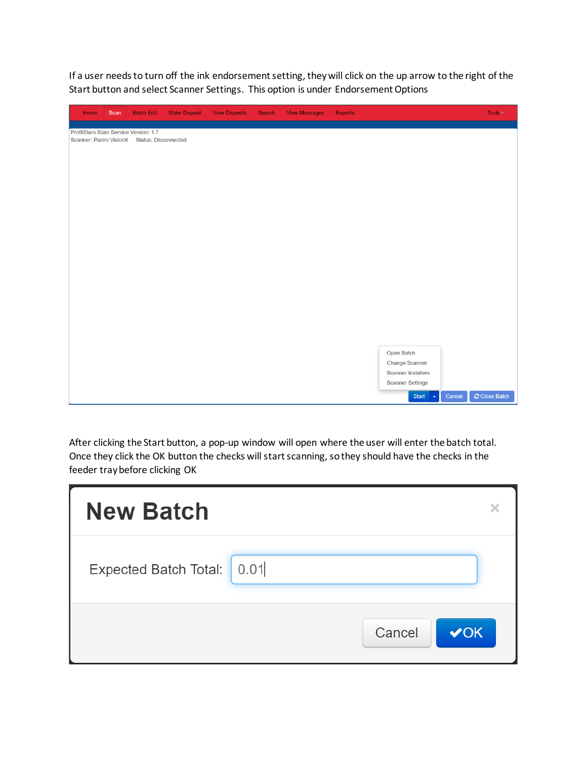If a user needs to turn off the ink endorsement setting, they will click on the up arrow to the right of the Start button and select Scanner Settings. This option is under Endorsement Options

| Home                                  | Scan | <b>Batch Edit</b>                            | <b>Make Deposit</b> | <b>View Deposits</b> | Search | <b>View Messages</b> | Reports |                                |        | Tools $\blacktriangleright$ |
|---------------------------------------|------|----------------------------------------------|---------------------|----------------------|--------|----------------------|---------|--------------------------------|--------|-----------------------------|
| ProfitStars Scan Service Version: 1.7 |      |                                              |                     |                      |        |                      |         |                                |        |                             |
|                                       |      | Scanner: Panini VisionX Status: Disconnected |                     |                      |        |                      |         |                                |        |                             |
|                                       |      |                                              |                     |                      |        |                      |         |                                |        |                             |
|                                       |      |                                              |                     |                      |        |                      |         |                                |        |                             |
|                                       |      |                                              |                     |                      |        |                      |         |                                |        |                             |
|                                       |      |                                              |                     |                      |        |                      |         |                                |        |                             |
|                                       |      |                                              |                     |                      |        |                      |         |                                |        |                             |
|                                       |      |                                              |                     |                      |        |                      |         |                                |        |                             |
|                                       |      |                                              |                     |                      |        |                      |         |                                |        |                             |
|                                       |      |                                              |                     |                      |        |                      |         |                                |        |                             |
|                                       |      |                                              |                     |                      |        |                      |         |                                |        |                             |
|                                       |      |                                              |                     |                      |        |                      |         |                                |        |                             |
|                                       |      |                                              |                     |                      |        |                      |         |                                |        |                             |
|                                       |      |                                              |                     |                      |        |                      |         |                                |        |                             |
|                                       |      |                                              |                     |                      |        |                      |         |                                |        |                             |
|                                       |      |                                              |                     |                      |        |                      |         |                                |        |                             |
|                                       |      |                                              |                     |                      |        |                      |         |                                |        |                             |
|                                       |      |                                              |                     |                      |        |                      |         | Open Batch<br>Change Scanner   |        |                             |
|                                       |      |                                              |                     |                      |        |                      |         | <b>Scanner Installers</b>      |        |                             |
|                                       |      |                                              |                     |                      |        |                      |         | <b>Scanner Settings</b>        |        |                             |
|                                       |      |                                              |                     |                      |        |                      |         | Start $\overline{\phantom{a}}$ | Cancel | $\mathcal C$ Close Batch    |

After clicking the Start button, a pop-up window will open where the user will enter the batch total. Once they click the OK button the checks will start scanning, so they should have the checks in the feeder tray before clicking OK

| <b>New Batch</b>           |                     |  |
|----------------------------|---------------------|--|
| Expected Batch Total: 0.01 |                     |  |
|                            | $\vee$ OK<br>Cancel |  |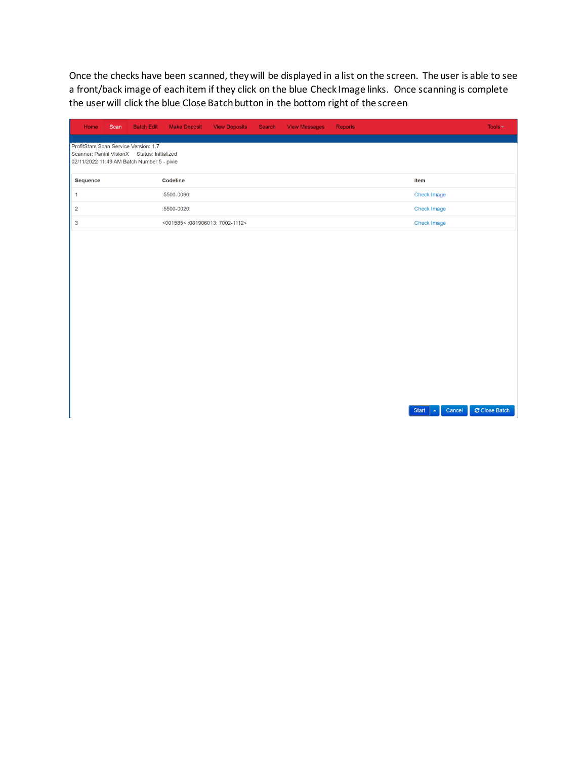Once the checks have been scanned, they will be displayed in a list on the screen. The user is able to see a front/back image of each item if they click on the blue Check Image links. Once scanning is complete the user will click the blue Close Batch button in the bottom right of the screen

| Home                                                                                                                               | Scan | <b>Batch Edit</b> | <b>Make Deposit</b>             | <b>View Deposits</b> | Search | <b>View Messages</b> | <b>Reports</b> |  |                    | Tools $\blacktriangledown$ |  |
|------------------------------------------------------------------------------------------------------------------------------------|------|-------------------|---------------------------------|----------------------|--------|----------------------|----------------|--|--------------------|----------------------------|--|
| ProfitStars Scan Service Version: 1.7<br>Scanner: Panini VisionX Status: Initialized<br>02/11/2022 11:49 AM Batch Number 5 - pivie |      |                   |                                 |                      |        |                      |                |  |                    |                            |  |
| <b>Sequence</b>                                                                                                                    |      |                   | <b>Codeline</b>                 |                      |        |                      |                |  | Item               |                            |  |
|                                                                                                                                    |      |                   | $:5500 - 0090:$                 |                      |        |                      |                |  | <b>Check Image</b> |                            |  |
|                                                                                                                                    |      |                   | $:5500 - 0020:$                 |                      |        |                      |                |  | <b>Check Image</b> |                            |  |
| 3                                                                                                                                  |      |                   | <001585< :081906013: 7002-1112< |                      |        |                      |                |  | <b>Check Image</b> |                            |  |
|                                                                                                                                    |      |                   |                                 |                      |        |                      |                |  |                    |                            |  |

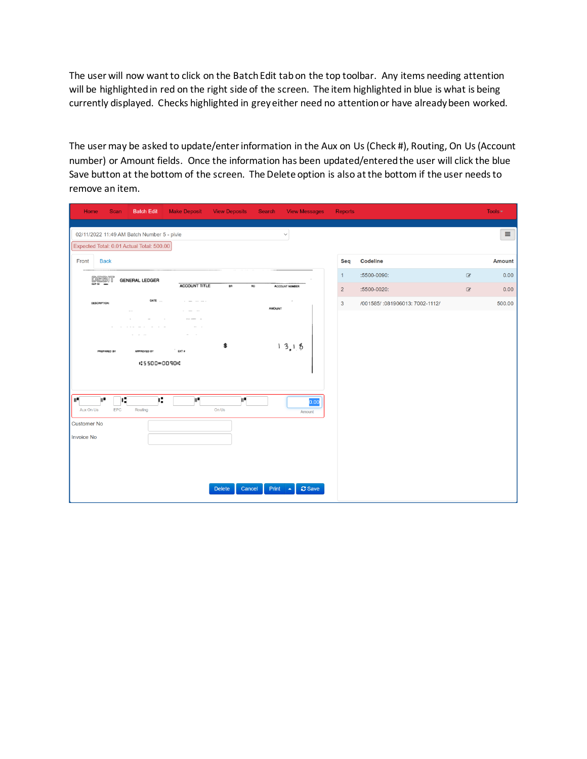The user will now want to click on the Batch Edit tab on the top toolbar. Any items needing attention will be highlighted in red on the right side of the screen. The item highlighted in blue is what is being currently displayed. Checks highlighted in grey either need no attention or have already been worked.

The user may be asked to update/enter information in the Aux on Us (Check #), Routing, On Us (Account number) or Amount fields. Once the information has been updated/entered the user will click the blue Save button at the bottom of the screen. The Delete option is also at the bottom if the user needs to remove an item.

| <b>Batch Edit</b><br>Home<br>Scan                                                                                                                | <b>Make Deposit</b>              | <b>View Deposits</b><br>Search               | <b>View Messages</b>                                                     | Reports        |                                 |             | Tools $\blacktriangledown$ |
|--------------------------------------------------------------------------------------------------------------------------------------------------|----------------------------------|----------------------------------------------|--------------------------------------------------------------------------|----------------|---------------------------------|-------------|----------------------------|
| 02/11/2022 11:49 AM Batch Number 5 - pivie<br>Expected Total: 0.01 Actual Total: 500.00                                                          |                                  |                                              | $\checkmark$                                                             |                |                                 |             | $\equiv$                   |
| Front<br><b>Back</b>                                                                                                                             |                                  |                                              |                                                                          | Seq            | Codeline                        |             | Amount                     |
| DEBIT<br><b>GENERAL LEDGER</b>                                                                                                                   |                                  |                                              |                                                                          | -1             | :5500-0090:                     | $\mathbf G$ | 0.00                       |
| <b>GLIP 34</b>                                                                                                                                   | <b>ACCOUNT TITLE</b>             | <b>DR</b><br><b>RC</b>                       | <b>ACCOUNT NUMBER</b>                                                    | $\overline{2}$ | :5500-0020:                     | $\mathbb Z$ | 0.00                       |
| DESCRIPTION:                                                                                                                                     | DATE                             |                                              | <b>AMOUNT</b>                                                            | $\mathbf{3}$   | /001585/ :081906013: 7002-1112/ |             | 500.00                     |
| PREPARED BY<br><b>APPROVED BY</b><br>$\mathbf{H}^{\bullet}$<br>н<br>W.<br>Aux On Us<br>EPC<br>Routing<br><b>Customer No</b><br><b>Invoice No</b> | EXT #<br>:5500-0090:<br>T.<br>n. | \$<br>H.<br>On Us<br><b>Delete</b><br>Cancel | 13,18<br>0.00<br>Amount<br>$\mathbf C$ Save<br>Print<br>$\blacktriangle$ |                |                                 |             |                            |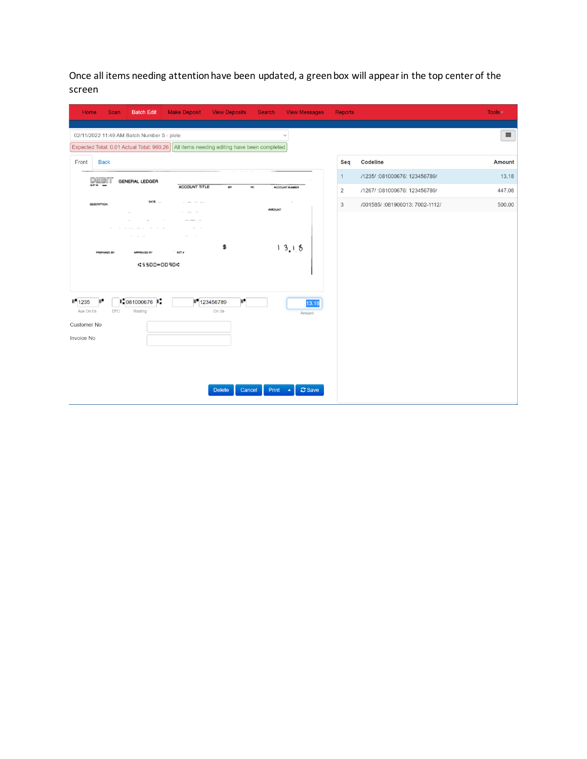Once all items needing attention have been updated, a green box will appear in the top center of the screen

| <b>Scan</b><br><b>Batch Edit</b><br>Home                                                                                                                               | <b>Make Deposit</b><br><b>View Deposits</b>                                       | <b>View Messages</b><br>Search                     | <b>Reports</b>          |                                 | Tools -       |
|------------------------------------------------------------------------------------------------------------------------------------------------------------------------|-----------------------------------------------------------------------------------|----------------------------------------------------|-------------------------|---------------------------------|---------------|
| 02/11/2022 11:49 AM Batch Number 5 - pivie<br>Expected Total: 0.01 Actual Total: 960.26   All items needing editing have been completed                                |                                                                                   | $\checkmark$                                       |                         |                                 | $\equiv$      |
| <b>Back</b><br>Front                                                                                                                                                   |                                                                                   |                                                    | Seq                     | Codeline                        | <b>Amount</b> |
| DEBIT<br><b>GENERAL LEDGER</b>                                                                                                                                         |                                                                                   |                                                    | $\mathbf{1}$            | /1235/:081000676: 123456789/    | 13.18         |
| <b>GLIP S</b>                                                                                                                                                          | <b>ACCOUNT TITLE</b><br><b>BR</b>                                                 | RC<br><b>ACCOUNT NUMBER</b>                        | $\overline{\mathbf{c}}$ | /1267/ :081000676: 123456789/   | 447.08        |
| DATE<br><b>DESCRIPTION:</b>                                                                                                                                            |                                                                                   | <b>AMOUNT</b>                                      | $\mathbf{3}$            | /001585/ :081906013: 7002-1112/ | 500.00        |
| <b>PREPARED BY</b><br><b>APPROVED BY</b><br>::5500-0090:<br>1.081000676 1.<br>$II$ 1235<br>Ш<br>EPC<br>Aux On Us<br>Routing<br><b>Customer No</b><br><b>Invoice No</b> | \$<br>EXT #<br>II <sup></sup> 123456789<br>H.<br>On Us<br><b>Delete</b><br>Cancel | 13,18<br>13.18<br>Amount<br><b>C</b> Save<br>Print |                         |                                 |               |